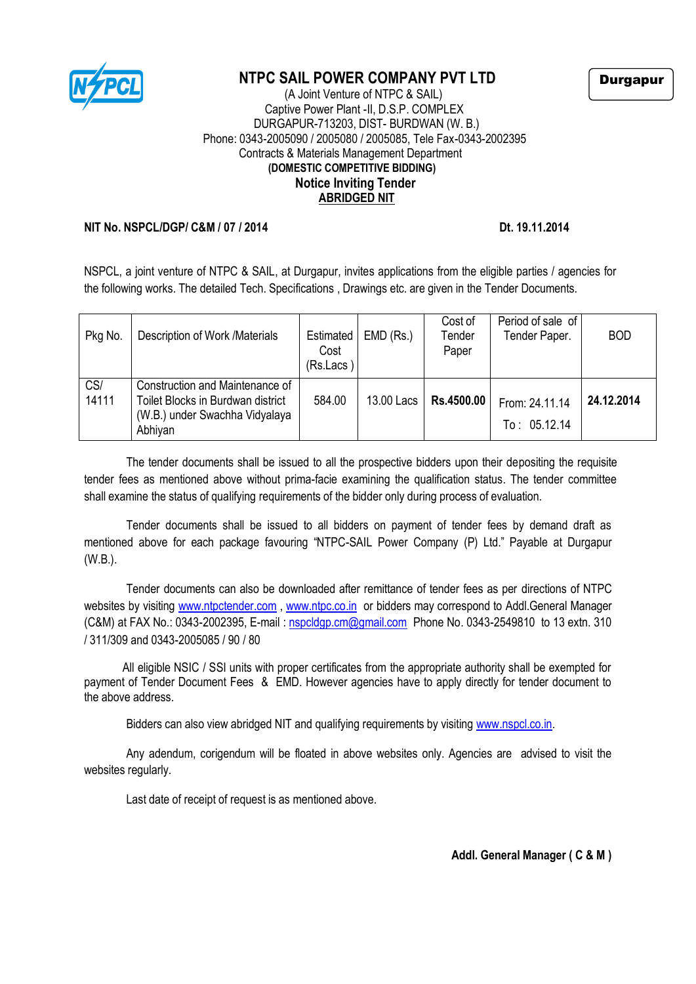

## **NTPC SAIL POWER COMPANY PVT LTD**

 (A Joint Venture of NTPC & SAIL) Captive Power Plant -II, D.S.P. COMPLEX DURGAPUR-713203, DIST- BURDWAN (W. B.) Phone: 0343-2005090 / 2005080 / 2005085, Tele Fax-0343-2002395 Contracts & Materials Management Department  **(DOMESTIC COMPETITIVE BIDDING) Notice Inviting Tender ABRIDGED NIT**

## **NIT No. NSPCL/DGP/ C&M / 07 / 2014 Dt. 19.11.2014**

NSPCL, a joint venture of NTPC & SAIL, at Durgapur, invites applications from the eligible parties / agencies for the following works. The detailed Tech. Specifications , Drawings etc. are given in the Tender Documents.

| Pkg No.      | Description of Work /Materials                                                                                    | Estimated<br>Cost<br>(Rs.Lacs) | $EMD$ (Rs.) | Cost of<br>Tender<br>Paper | Period of sale of<br>Tender Paper. | <b>BOD</b> |
|--------------|-------------------------------------------------------------------------------------------------------------------|--------------------------------|-------------|----------------------------|------------------------------------|------------|
| CS/<br>14111 | Construction and Maintenance of<br>Toilet Blocks in Burdwan district<br>(W.B.) under Swachha Vidyalaya<br>Abhiyan | 584.00                         | 13.00 Lacs  | Rs.4500.00                 | From: 24.11.14<br>To: 05.12.14     | 24.12.2014 |

The tender documents shall be issued to all the prospective bidders upon their depositing the requisite tender fees as mentioned above without prima-facie examining the qualification status. The tender committee shall examine the status of qualifying requirements of the bidder only during process of evaluation.

Tender documents shall be issued to all bidders on payment of tender fees by demand draft as mentioned above for each package favouring "NTPC-SAIL Power Company (P) Ltd." Payable at Durgapur (W.B.).

Tender documents can also be downloaded after remittance of tender fees as per directions of NTPC websites by visiting [www.ntpctender.com](http://www.ntpctender.com/), [www.ntpc.co.in](http://www.ntpc.co.in/) or bidders may correspond to Addl.General Manager (C&M) at FAX No.: 0343-2002395, E-mail : [nspcldgp.cm@gmail.com](mailto:nspcldgp.cm@gmail.com) Phone No. 0343-2549810 to 13 extn. 310 / 311/309 and 0343-2005085 / 90 / 80

 All eligible NSIC / SSI units with proper certificates from the appropriate authority shall be exempted for payment of Tender Document Fees & EMD. However agencies have to apply directly for tender document to the above address.

Bidders can also view abridged NIT and qualifying requirements by visiting www.nspcl.co.in.

Any adendum, corigendum will be floated in above websites only. Agencies are advised to visit the websites regularly.

Last date of receipt of request is as mentioned above.

**Addl. General Manager ( C & M )**

Durgapur